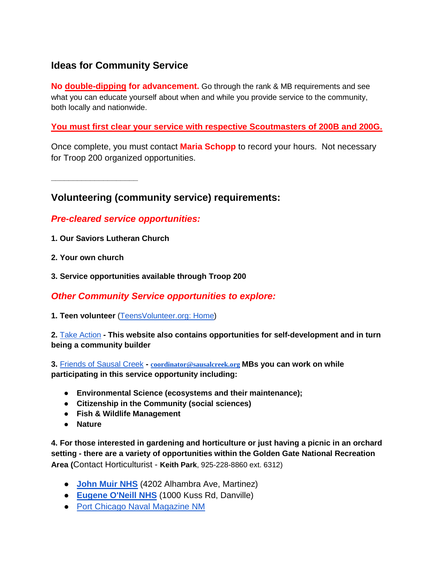# **Ideas for Community Service**

**No double-dipping for advancement.** Go through the rank & MB requirements and see what you can educate yourself about when and while you provide service to the community, both locally and nationwide.

#### **You must first clear your service with respective Scoutmasters of 200B and 200G.**

Once complete, you must contact **Maria Schopp** to record your hours. Not necessary for Troop 200 organized opportunities.

**\_\_\_\_\_\_\_\_\_\_\_\_\_\_\_\_\_\_\_\_**

## **Volunteering (community service) requirements:**

## *Pre-cleared service opportunities:*

- **1. Our Saviors Lutheran Church**
- **2. Your own church**
- **3. Service opportunities available through Troop 200**

### *Other Community Service opportunities to explore:*

**1. Teen volunteer** [\(TeensVolunteer.org: Home\)](https://teensvolunteer.org/)

**2.** [Take Action](https://digital-dos.webflow.io/action-type/all) **- This website also contains opportunities for self-development and in turn being a community builder**

**3.** [Friends of Sausal Creek](https://www.sausalcreek.org/) **- [coordinator@sausalcreek.org](mailto:coordinator@sausalcreek.org) MBs you can work on while participating in this service opportunity including:**

- **Environmental Science (ecosystems and their maintenance);**
- **Citizenship in the Community (social sciences)**
- **Fish & Wildlife Management**
- **Nature**

**4. For those interested in gardening and horticulture or just having a picnic in an orchard setting - there are a variety of opportunities within the Golden Gate National Recreation Area (**Contact Horticulturist - **Keith Park**, 925-228-8860 ext. 6312)

- **[John Muir NHS](https://www.nps.gov/jomu/index.htm)** (4202 Alhambra Ave, Martinez)
- **[Eugene O'Neill NHS](https://www.nps.gov/euon/index.htm)** (1000 Kuss Rd, Danville)
- [Port Chicago Naval Magazine NM](https://www.nps.gov/poch/index.htm)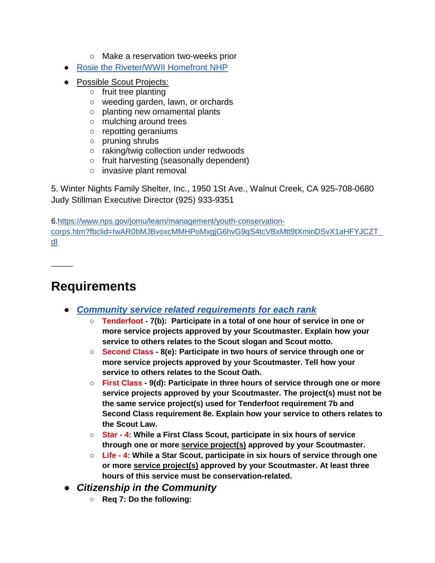- Make a reservation two-weeks prior
- [Rosie the Riveter/WWII Homefront NHP](https://www.nps.gov/rori/index.htm)
- Possible Scout Projects:
	- fruit tree planting
	- weeding garden, lawn, or orchards
	- planting new ornamental plants
	- mulching around trees
	- repotting geraniums
	- pruning shrubs
	- raking/twig collection under redwoods
	- fruit harvesting (seasonally dependent)
	- invasive plant removal

5. Winter Nights Family Shelter, Inc., 1950 1St Ave., Walnut Creek, CA 925-708-0680 Judy Stillman Executive Director (925) 933-9351

6[.https://www.nps.gov/jomu/learn/management/youth-conservation](https://www.nps.gov/jomu/learn/management/youth-conservation-corps.htm?fbclid=IwAR0bMJBvoxcMMHPoMxgjG6hvG9qS4tcVBxMtt9tXminDSvX1aHFYJCZT_dI)[corps.htm?fbclid=IwAR0bMJBvoxcMMHPoMxgjG6hvG9qS4tcVBxMtt9tXminDSvX1aHFYJCZT\\_](https://www.nps.gov/jomu/learn/management/youth-conservation-corps.htm?fbclid=IwAR0bMJBvoxcMMHPoMxgjG6hvG9qS4tcVBxMtt9tXminDSvX1aHFYJCZT_dI) [dI](https://www.nps.gov/jomu/learn/management/youth-conservation-corps.htm?fbclid=IwAR0bMJBvoxcMMHPoMxgjG6hvG9qS4tcVBxMtt9tXminDSvX1aHFYJCZT_dI)

**Requirements**

 $\overline{\phantom{a}}$ 

- *[Community service related requirements for each rank](https://i9peu1ikn3a16vg4e45rqi17-wpengine.netdna-ssl.com/wp-content/uploads/2019/02/Scouts-BSA-Requirements-3321619.pdf)*
	- **Tenderfoot - 7(b): Participate in a total of one hour of service in one or more service projects approved by your Scoutmaster. Explain how your service to others relates to the Scout slogan and Scout motto.**
	- **Second Class - 8(e): Participate in two hours of service through one or more service projects approved by your Scoutmaster. Tell how your service to others relates to the Scout Oath.**
	- **First Class - 9(d): Participate in three hours of service through one or more service projects approved by your Scoutmaster. The project(s) must not be the same service project(s) used for Tenderfoot requirement 7b and Second Class requirement 8e. Explain how your service to others relates to the Scout Law.**
	- **Star - 4: While a First Class Scout, participate in six hours of service through one or mor[e](https://boyscouttrail.com/boy-scouts/boy-scout-projects.asp) [service project\(s\)](https://boyscouttrail.com/boy-scouts/boy-scout-projects.asp) approved by your Scoutmaster.**
	- **Life - 4: While a Star Scout, participate in six hours of service through one or mor[e](https://boyscouttrail.com/boy-scouts/boy-scout-projects.asp) [service project\(s\)](https://boyscouttrail.com/boy-scouts/boy-scout-projects.asp) approved by your Scoutmaster. At least three hours of this service must be conservation-related.**
- *Citizenship in the Community* 
	- **Req 7: Do the following:**